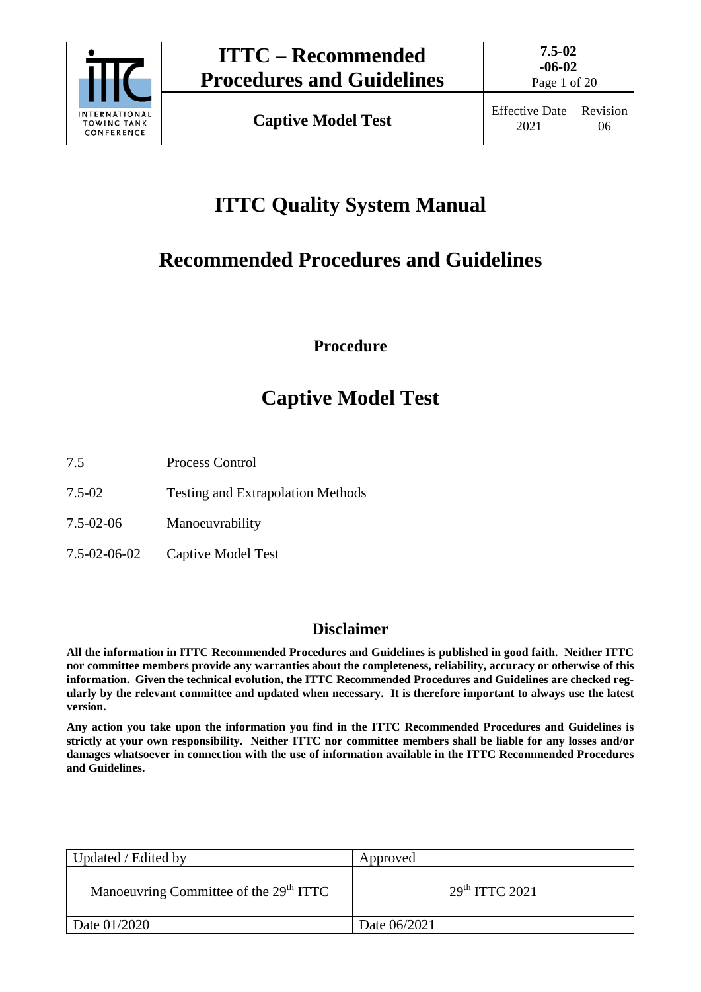

Page 1 of 20

# **ITTC Quality System Manual**

# **Recommended Procedures and Guidelines**

**Procedure**

# **Captive Model Test**

- 7.5 Process Control
- 7.5-02 Testing and Extrapolation Methods
- 7.5-02-06 Manoeuvrability
- 7.5-02-06-02 Captive Model Test

# **Disclaimer**

**All the information in ITTC Recommended Procedures and Guidelines is published in good faith. Neither ITTC nor committee members provide any warranties about the completeness, reliability, accuracy or otherwise of this information. Given the technical evolution, the ITTC Recommended Procedures and Guidelines are checked regularly by the relevant committee and updated when necessary. It is therefore important to always use the latest version.**

**Any action you take upon the information you find in the ITTC Recommended Procedures and Guidelines is strictly at your own responsibility. Neither ITTC nor committee members shall be liable for any losses and/or damages whatsoever in connection with the use of information available in the ITTC Recommended Procedures and Guidelines.**

| Updated / Edited by                                | Approved                   |
|----------------------------------------------------|----------------------------|
| Manoeuvring Committee of the 29 <sup>th</sup> ITTC | 29 <sup>th</sup> TTTC 2021 |
| Date 01/2020                                       | Date 06/2021               |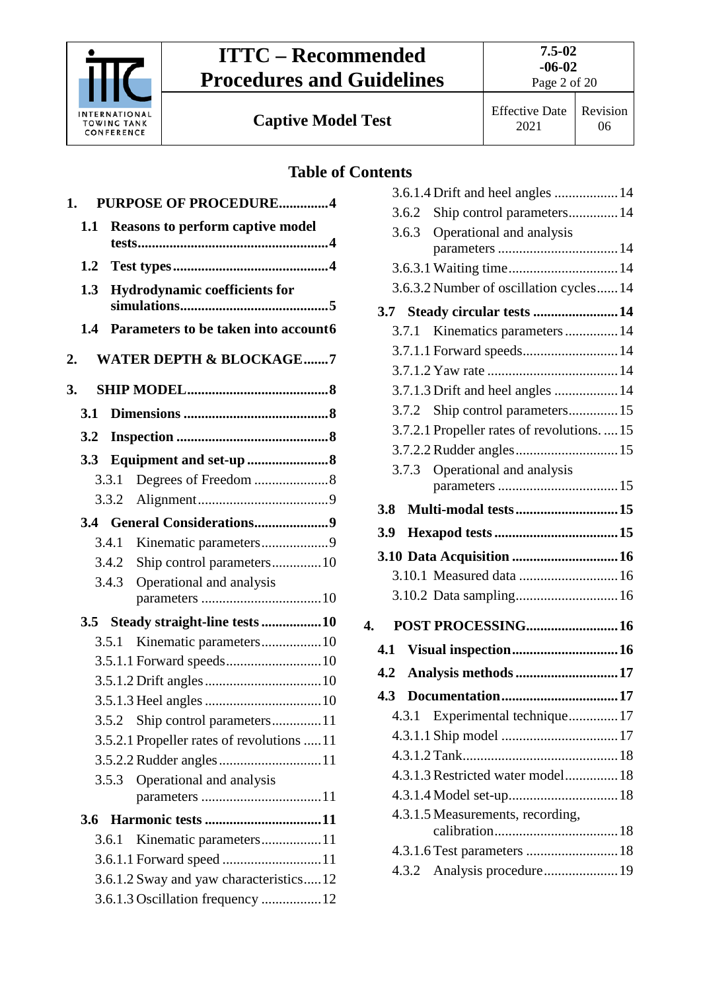

**Captive Model Test** Effective Date

# **Table of Contents**

| 1.  |                                      | <b>PURPOSE OF PROCEDURE4</b>                            |  |
|-----|--------------------------------------|---------------------------------------------------------|--|
| 1.1 |                                      | <b>Reasons to perform captive model</b>                 |  |
|     |                                      |                                                         |  |
| 1.2 |                                      |                                                         |  |
| 1.3 | <b>Hydrodynamic coefficients for</b> |                                                         |  |
|     |                                      |                                                         |  |
| 1.4 |                                      | Parameters to be taken into account6                    |  |
| 2.  |                                      | <b>WATER DEPTH &amp; BLOCKAGE7</b>                      |  |
| 3.  |                                      |                                                         |  |
| 3.1 |                                      |                                                         |  |
| 3.2 |                                      |                                                         |  |
| 3.3 |                                      |                                                         |  |
|     | 3.3.1                                |                                                         |  |
|     |                                      |                                                         |  |
|     |                                      |                                                         |  |
|     | 3.4.1                                |                                                         |  |
|     | 3.4.2                                | Ship control parameters 10                              |  |
|     | 3.4.3                                | Operational and analysis                                |  |
|     |                                      |                                                         |  |
| 3.5 | 3.5.1                                | Steady straight-line tests 10<br>Kinematic parameters10 |  |
|     |                                      |                                                         |  |
|     |                                      |                                                         |  |
|     |                                      |                                                         |  |
|     |                                      | 3.5.2 Ship control parameters11                         |  |
|     |                                      | 3.5.2.1 Propeller rates of revolutions 11               |  |
|     |                                      |                                                         |  |
|     |                                      | 3.5.3 Operational and analysis                          |  |
|     |                                      |                                                         |  |
| 3.6 |                                      |                                                         |  |
|     | 3.6.1                                | Kinematic parameters11                                  |  |
|     |                                      |                                                         |  |
|     |                                      | 3.6.1.2 Sway and yaw characteristics12                  |  |
|     |                                      |                                                         |  |

| лисниз |                                             |  |
|--------|---------------------------------------------|--|
|        | 3.6.1.4 Drift and heel angles  14           |  |
| 3.6.2  | Ship control parameters 14                  |  |
| 3.6.3  | Operational and analysis                    |  |
|        |                                             |  |
|        | 3.6.3.1 Waiting time 14                     |  |
|        | 3.6.3.2 Number of oscillation cycles 14     |  |
|        | 3.7 Steady circular tests  14               |  |
| 3.7.1  | Kinematics parameters 14                    |  |
|        | 3.7.1.1 Forward speeds 14                   |  |
|        |                                             |  |
|        | 3.7.1.3 Drift and heel angles  14           |  |
|        | 3.7.2 Ship control parameters 15            |  |
|        | 3.7.2.1 Propeller rates of revolutions.  15 |  |
|        |                                             |  |
| 3.7.3  | Operational and analysis                    |  |
|        |                                             |  |
| 3.8    | <b>Multi-modal tests15</b>                  |  |
| 3.9    |                                             |  |
|        |                                             |  |
|        |                                             |  |
|        |                                             |  |
| 4.     | POST PROCESSING 16                          |  |
| 4.1    | Visual inspection 16                        |  |
| 4.2    | Analysis methods 17                         |  |
| 4.3    | Documentation17                             |  |
| 4.3.1  | Experimental technique17                    |  |
|        |                                             |  |
|        |                                             |  |
|        | 4.3.1.3 Restricted water model 18           |  |
|        |                                             |  |
|        | 4.3.1.5 Measurements, recording,            |  |
|        |                                             |  |
|        |                                             |  |
|        |                                             |  |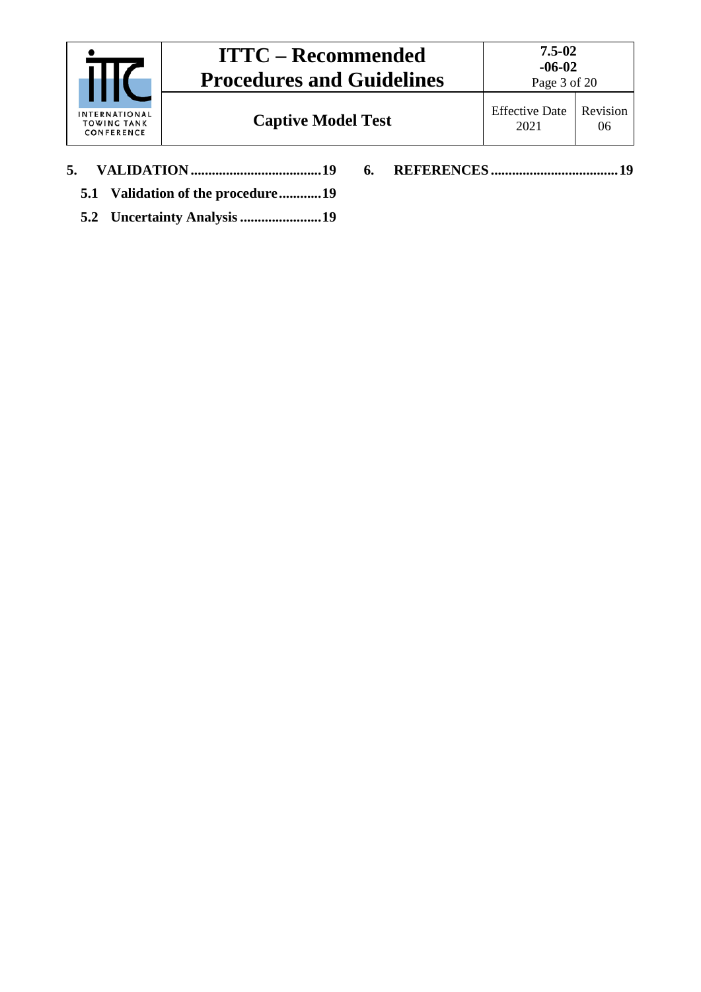|                                            | <b>ITTC – Recommended</b><br><b>Procedures and Guidelines</b> | $7.5 - 02$<br>$-06-02$<br>Page 3 of 20 |                |
|--------------------------------------------|---------------------------------------------------------------|----------------------------------------|----------------|
| INTERNATIONAL<br>TOWING TANK<br>CONFERENCE | <b>Captive Model Test</b>                                     | <b>Effective Date</b><br>2021          | Revision<br>06 |
| 5.                                         | 6.<br>5.1 Validation of the procedure19                       |                                        | 19             |

**5.2 [Uncertainty Analysis.......................19](#page-18-3)**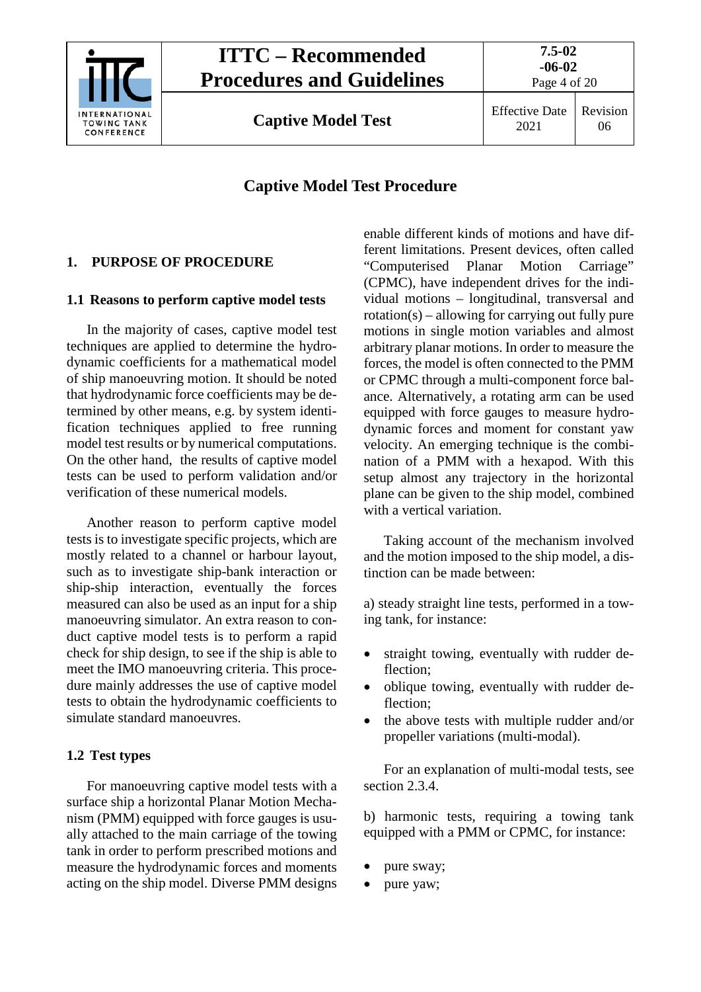

Page 4 of 20

**Captive Model Test** Effective Date

2021 Revision 06

# **Captive Model Test Procedure**

# <span id="page-3-1"></span><span id="page-3-0"></span>**1. PURPOSE OF PROCEDURE**

# **1.1 Reasons to perform captive model tests**

In the majority of cases, captive model test techniques are applied to determine the hydrodynamic coefficients for a mathematical model of ship manoeuvring motion. It should be noted that hydrodynamic force coefficients may be determined by other means, e.g. by system identification techniques applied to free running model test results or by numerical computations. On the other hand, the results of captive model tests can be used to perform validation and/or verification of these numerical models.

Another reason to perform captive model tests is to investigate specific projects, which are mostly related to a channel or harbour layout, such as to investigate ship-bank interaction or ship-ship interaction, eventually the forces measured can also be used as an input for a ship manoeuvring simulator. An extra reason to conduct captive model tests is to perform a rapid check for ship design, to see if the ship is able to meet the IMO manoeuvring criteria. This procedure mainly addresses the use of captive model tests to obtain the hydrodynamic coefficients to simulate standard manoeuvres.

# <span id="page-3-2"></span>**1.2 Test types**

For manoeuvring captive model tests with a surface ship a horizontal Planar Motion Mechanism (PMM) equipped with force gauges is usually attached to the main carriage of the towing tank in order to perform prescribed motions and measure the hydrodynamic forces and moments acting on the ship model. Diverse PMM designs

enable different kinds of motions and have different limitations. Present devices, often called "Computerised Planar Motion Carriage" (CPMC), have independent drives for the individual motions – longitudinal, transversal and rotation(s) – allowing for carrying out fully pure motions in single motion variables and almost arbitrary planar motions. In order to measure the forces, the model is often connected to the PMM or CPMC through a multi-component force balance. Alternatively, a rotating arm can be used equipped with force gauges to measure hydrodynamic forces and moment for constant yaw velocity. An emerging technique is the combination of a PMM with a hexapod. With this setup almost any trajectory in the horizontal plane can be given to the ship model, combined with a vertical variation.

Taking account of the mechanism involved and the motion imposed to the ship model, a distinction can be made between:

a) steady straight line tests, performed in a towing tank, for instance:

- straight towing, eventually with rudder deflection;
- oblique towing, eventually with rudder deflection;
- the above tests with multiple rudder and/or propeller variations (multi-modal).

For an explanation of multi-modal tests, see section 2.3.4.

b) harmonic tests, requiring a towing tank equipped with a PMM or CPMC, for instance:

- pure sway;
- pure yaw;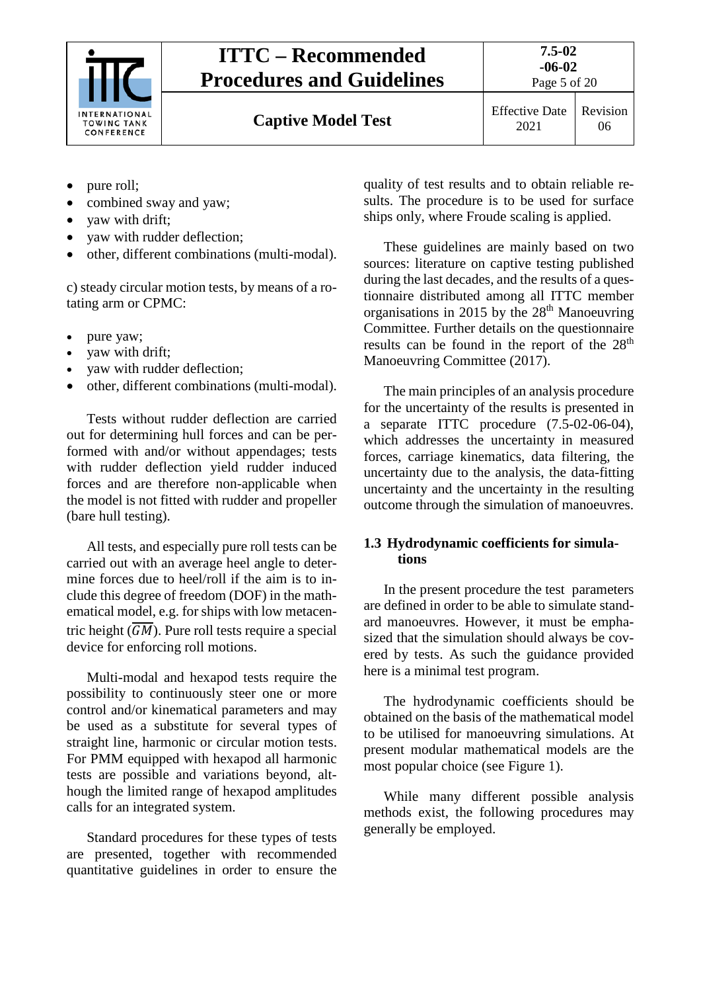

**Captive Model Test** Effective Date

Page 5 of 20

- pure roll;
- combined sway and yaw;
- vaw with drift;
- vaw with rudder deflection;
- other, different combinations (multi-modal).

c) steady circular motion tests, by means of a rotating arm or CPMC:

- pure yaw;
- yaw with drift;
- yaw with rudder deflection;
- other, different combinations (multi-modal).

Tests without rudder deflection are carried out for determining hull forces and can be performed with and/or without appendages; tests with rudder deflection yield rudder induced forces and are therefore non-applicable when the model is not fitted with rudder and propeller (bare hull testing).

All tests, and especially pure roll tests can be carried out with an average heel angle to determine forces due to heel/roll if the aim is to include this degree of freedom (DOF) in the mathematical model, e.g. for ships with low metacentric height  $(\overline{GM})$ . Pure roll tests require a special device for enforcing roll motions.

Multi-modal and hexapod tests require the possibility to continuously steer one or more control and/or kinematical parameters and may be used as a substitute for several types of straight line, harmonic or circular motion tests. For PMM equipped with hexapod all harmonic tests are possible and variations beyond, although the limited range of hexapod amplitudes calls for an integrated system.

Standard procedures for these types of tests are presented, together with recommended quantitative guidelines in order to ensure the

quality of test results and to obtain reliable results. The procedure is to be used for surface ships only, where Froude scaling is applied.

These guidelines are mainly based on two sources: literature on captive testing published during the last decades, and the results of a questionnaire distributed among all ITTC member organisations in 2015 by the 28<sup>th</sup> Manoeuvring Committee. Further details on the questionnaire results can be found in the report of the 28<sup>th</sup> Manoeuvring Committee (2017).

The main principles of an analysis procedure for the uncertainty of the results is presented in a separate ITTC procedure  $(7.5-02-06-04)$ , which addresses the uncertainty in measured forces, carriage kinematics, data filtering, the uncertainty due to the analysis, the data-fitting uncertainty and the uncertainty in the resulting outcome through the simulation of manoeuvres.

# <span id="page-4-0"></span>**1.3 Hydrodynamic coefficients for simulations**

In the present procedure the test parameters are defined in order to be able to simulate standard manoeuvres. However, it must be emphasized that the simulation should always be covered by tests. As such the guidance provided here is a minimal test program.

The hydrodynamic coefficients should be obtained on the basis of the mathematical model to be utilised for manoeuvring simulations. At present modular mathematical models are the most popular choice (see Figure 1).

While many different possible analysis methods exist, the following procedures may generally be employed.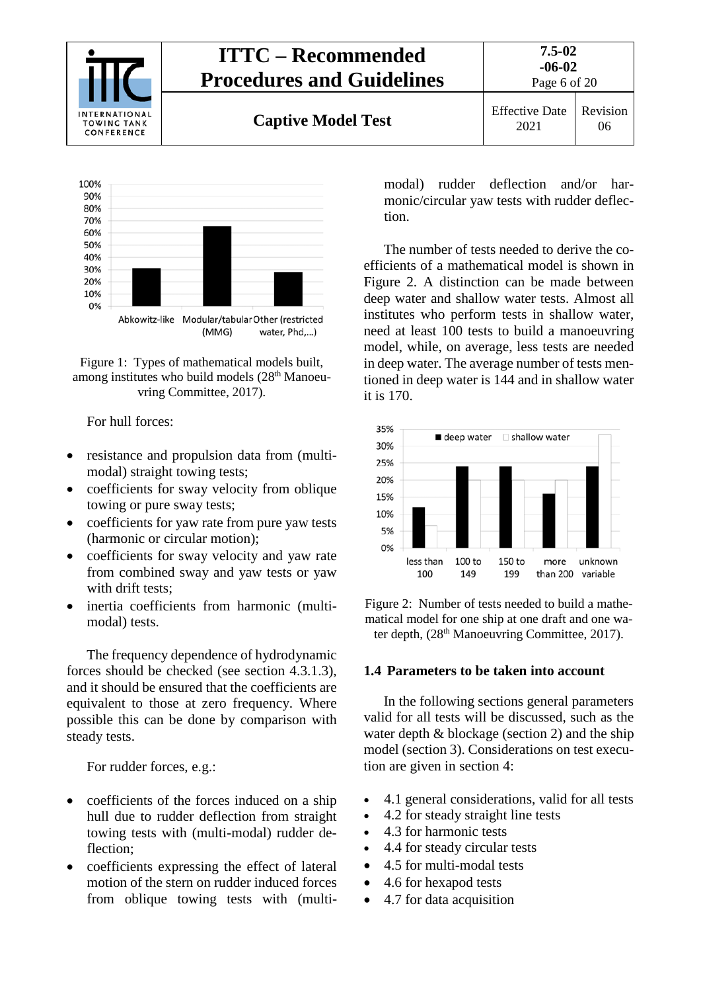



Figure 1: Types of mathematical models built, among institutes who build models (28<sup>th</sup> Manoeuvring Committee, 2017).

For hull forces:

- resistance and propulsion data from (multimodal) straight towing tests;
- coefficients for sway velocity from oblique towing or pure sway tests;
- coefficients for yaw rate from pure yaw tests (harmonic or circular motion);
- coefficients for sway velocity and yaw rate from combined sway and yaw tests or yaw with drift tests:
- inertia coefficients from harmonic (multimodal) tests.

The frequency dependence of hydrodynamic forces should be checked (see section [4.3.1.3\)](#page-11-1), and it should be ensured that the coefficients are equivalent to those at zero frequency. Where possible this can be done by comparison with steady tests.

For rudder forces, e.g.:

- coefficients of the forces induced on a ship hull due to rudder deflection from straight towing tests with (multi-modal) rudder deflection;
- coefficients expressing the effect of lateral motion of the stern on rudder induced forces from oblique towing tests with (multi-

modal) rudder deflection and/or harmonic/circular yaw tests with rudder deflection.

The number of tests needed to derive the coefficients of a mathematical model is shown in Figure 2. A distinction can be made between deep water and shallow water tests. Almost all institutes who perform tests in shallow water, need at least 100 tests to build a manoeuvring model, while, on average, less tests are needed in deep water. The average number of tests mentioned in deep water is 144 and in shallow water it is 170.



Figure 2: Number of tests needed to build a mathematical model for one ship at one draft and one water depth, (28<sup>th</sup> Manoeuvring Committee, 2017).

# <span id="page-5-0"></span>**1.4 Parameters to be taken into account**

In the following sections general parameters valid for all tests will be discussed, such as the water depth  $\&$  blockage (section [2\)](#page-6-0) and the ship model (section [3\)](#page-7-0). Considerations on test execution are given in section 4:

- [4.1](#page-8-1) general considerations, valid for all tests
- [4.2](#page-9-2) for steady straight line tests
- [4.3](#page-10-4) for harmonic tests
- [4.4](#page-13-5) for steady circular tests
- [4.5](#page-14-4) for multi-modal tests
- [4.6](#page-14-5) for hexapod tests
- [4.7](#page-15-0) for data acquisition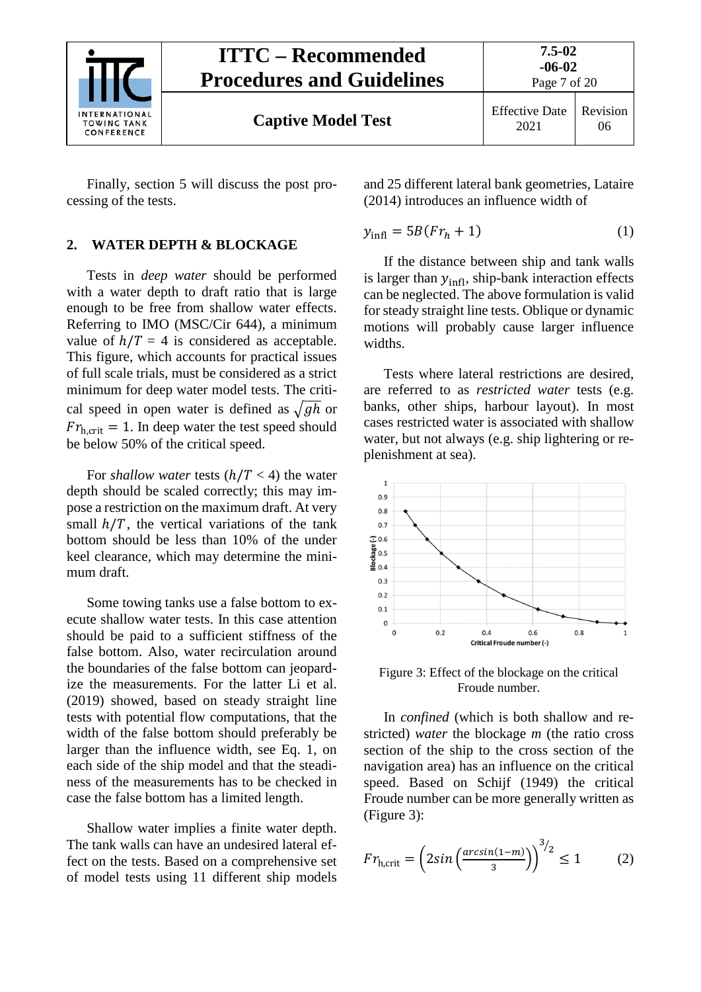

<span id="page-6-0"></span>Finally, section [5](#page-15-3) will discuss the post processing of the tests.

# **2. WATER DEPTH & BLOCKAGE**

Tests in *deep water* should be performed with a water depth to draft ratio that is large enough to be free from shallow water effects. Referring to IMO (MSC/Cir 644), a minimum value of  $h/T = 4$  is considered as acceptable. This figure, which accounts for practical issues of full scale trials, must be considered as a strict minimum for deep water model tests. The critical speed in open water is defined as  $\sqrt{gh}$  or  $Fr_{h,crit} = 1$ . In deep water the test speed should be below 50% of the critical speed.

For *shallow water* tests  $(h/T < 4)$  the water depth should be scaled correctly; this may impose a restriction on the maximum draft. At very small  $h/T$ , the vertical variations of the tank bottom should be less than 10% of the under keel clearance, which may determine the minimum draft.

Some towing tanks use a false bottom to execute shallow water tests. In this case attention should be paid to a sufficient stiffness of the false bottom. Also, water recirculation around the boundaries of the false bottom can jeopardize the measurements. For the latter Li et al. (2019) showed, based on steady straight line tests with potential flow computations, that the width of the false bottom should preferably be larger than the influence width, see Eq. 1, on each side of the ship model and that the steadiness of the measurements has to be checked in case the false bottom has a limited length.

Shallow water implies a finite water depth. The tank walls can have an undesired lateral effect on the tests. Based on a comprehensive set of model tests using 11 different ship models

and 25 different lateral bank geometries, Lataire (2014) introduces an influence width of

$$
y_{\text{infl}} = 5B(Fr_h + 1) \tag{1}
$$

If the distance between ship and tank walls is larger than  $y_{\text{infl}}$ , ship-bank interaction effects can be neglected. The above formulation is valid for steady straight line tests. Oblique or dynamic motions will probably cause larger influence widths.

Tests where lateral restrictions are desired, are referred to as *restricted water* tests (e.g. banks, other ships, harbour layout). In most cases restricted water is associated with shallow water, but not always (e.g. ship lightering or replenishment at sea).



Figure 3: Effect of the blockage on the critical Froude number.

In *confined* (which is both shallow and restricted) *water* the blockage *m* (the ratio cross section of the ship to the cross section of the navigation area) has an influence on the critical speed. Based on Schijf (1949) the critical Froude number can be more generally written as (Figure 3):

$$
Fr_{h,\text{crit}} = \left(2\sin\left(\frac{\arcsin(1-m)}{3}\right)\right)^{3/2} \le 1\tag{2}
$$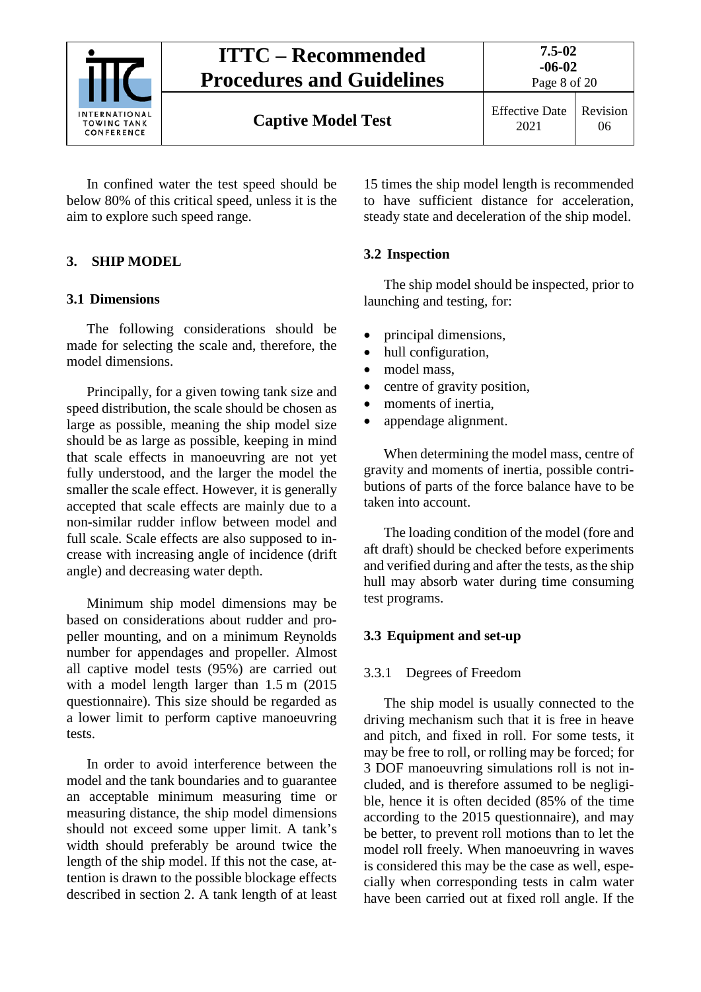

Page 8 of 20

**Captive Model Test** Effective Date

In confined water the test speed should be below 80% of this critical speed, unless it is the aim to explore such speed range.

# <span id="page-7-1"></span><span id="page-7-0"></span>**3. SHIP MODEL**

# **3.1 Dimensions**

The following considerations should be made for selecting the scale and, therefore, the model dimensions.

Principally, for a given towing tank size and speed distribution, the scale should be chosen as large as possible, meaning the ship model size should be as large as possible, keeping in mind that scale effects in manoeuvring are not yet fully understood, and the larger the model the smaller the scale effect. However, it is generally accepted that scale effects are mainly due to a non-similar rudder inflow between model and full scale. Scale effects are also supposed to increase with increasing angle of incidence (drift angle) and decreasing water depth.

Minimum ship model dimensions may be based on considerations about rudder and propeller mounting, and on a minimum Reynolds number for appendages and propeller. Almost all captive model tests (95%) are carried out with a model length larger than 1.5 m (2015) questionnaire). This size should be regarded as a lower limit to perform captive manoeuvring tests.

In order to avoid interference between the model and the tank boundaries and to guarantee an acceptable minimum measuring time or measuring distance, the ship model dimensions should not exceed some upper limit. A tank's width should preferably be around twice the length of the ship model. If this not the case, attention is drawn to the possible blockage effects described in section [2.](#page-6-0) A tank length of at least

15 times the ship model length is recommended to have sufficient distance for acceleration, steady state and deceleration of the ship model.

# <span id="page-7-2"></span>**3.2 Inspection**

The ship model should be inspected, prior to launching and testing, for:

- principal dimensions,
- hull configuration,
- model mass.
- centre of gravity position,
- moments of inertia,
- appendage alignment.

When determining the model mass, centre of gravity and moments of inertia, possible contributions of parts of the force balance have to be taken into account.

The loading condition of the model (fore and aft draft) should be checked before experiments and verified during and after the tests, as the ship hull may absorb water during time consuming test programs.

# <span id="page-7-4"></span><span id="page-7-3"></span>**3.3 Equipment and set-up**

# 3.3.1 Degrees of Freedom

The ship model is usually connected to the driving mechanism such that it is free in heave and pitch, and fixed in roll. For some tests, it may be free to roll, or rolling may be forced; for 3 DOF manoeuvring simulations roll is not included, and is therefore assumed to be negligible, hence it is often decided (85% of the time according to the 2015 questionnaire), and may be better, to prevent roll motions than to let the model roll freely. When manoeuvring in waves is considered this may be the case as well, especially when corresponding tests in calm water have been carried out at fixed roll angle. If the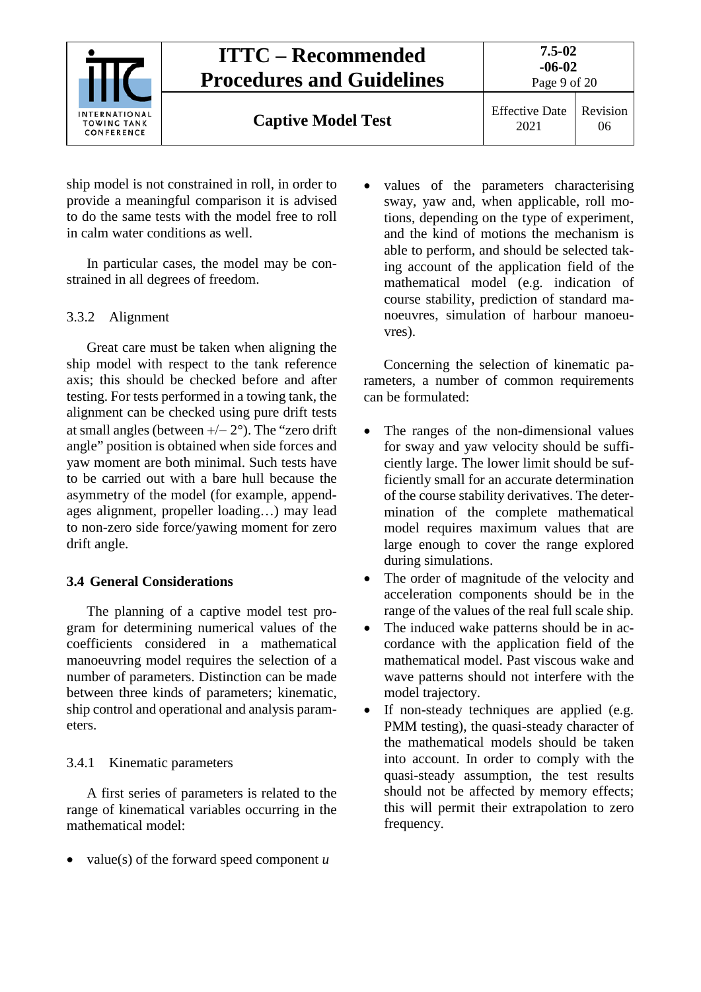

ship model is not constrained in roll, in order to provide a meaningful comparison it is advised to do the same tests with the model free to roll in calm water conditions as well.

In particular cases, the model may be constrained in all degrees of freedom.

# <span id="page-8-0"></span>3.3.2 Alignment

Great care must be taken when aligning the ship model with respect to the tank reference axis; this should be checked before and after testing. For tests performed in a towing tank, the alignment can be checked using pure drift tests at small angles (between +/− 2°). The "zero drift angle" position is obtained when side forces and yaw moment are both minimal. Such tests have to be carried out with a bare hull because the asymmetry of the model (for example, appendages alignment, propeller loading…) may lead to non-zero side force/yawing moment for zero drift angle.

# <span id="page-8-1"></span>**3.4 General Considerations**

The planning of a captive model test program for determining numerical values of the coefficients considered in a mathematical manoeuvring model requires the selection of a number of parameters. Distinction can be made between three kinds of parameters; kinematic, ship control and operational and analysis parameters.

# <span id="page-8-2"></span>3.4.1 Kinematic parameters

A first series of parameters is related to the range of kinematical variables occurring in the mathematical model:

• value(s) of the forward speed component *u*

values of the parameters characterising sway, yaw and, when applicable, roll motions, depending on the type of experiment, and the kind of motions the mechanism is able to perform, and should be selected taking account of the application field of the mathematical model (e.g. indication of course stability, prediction of standard manoeuvres, simulation of harbour manoeuvres).

Concerning the selection of kinematic parameters, a number of common requirements can be formulated:

- The ranges of the non-dimensional values for sway and yaw velocity should be sufficiently large. The lower limit should be sufficiently small for an accurate determination of the course stability derivatives. The determination of the complete mathematical model requires maximum values that are large enough to cover the range explored during simulations.
- The order of magnitude of the velocity and acceleration components should be in the range of the values of the real full scale ship.
- The induced wake patterns should be in accordance with the application field of the mathematical model. Past viscous wake and wave patterns should not interfere with the model trajectory.
- If non-steady techniques are applied (e.g. PMM testing), the quasi-steady character of the mathematical models should be taken into account. In order to comply with the quasi-steady assumption, the test results should not be affected by memory effects; this will permit their extrapolation to zero frequency.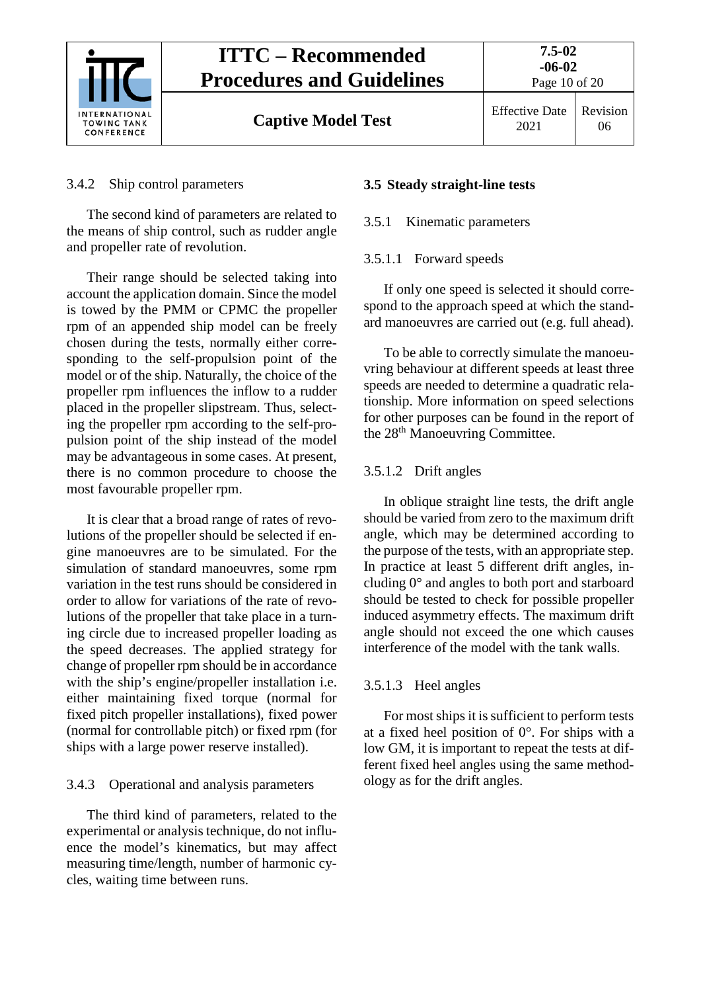

**Captive Model Test** Effective Date

# <span id="page-9-0"></span>3.4.2 Ship control parameters

The second kind of parameters are related to the means of ship control, such as rudder angle and propeller rate of revolution.

Their range should be selected taking into account the application domain. Since the model is towed by the PMM or CPMC the propeller rpm of an appended ship model can be freely chosen during the tests, normally either corresponding to the self-propulsion point of the model or of the ship. Naturally, the choice of the propeller rpm influences the inflow to a rudder placed in the propeller slipstream. Thus, selecting the propeller rpm according to the self-propulsion point of the ship instead of the model may be advantageous in some cases. At present, there is no common procedure to choose the most favourable propeller rpm.

It is clear that a broad range of rates of revolutions of the propeller should be selected if engine manoeuvres are to be simulated. For the simulation of standard manoeuvres, some rpm variation in the test runs should be considered in order to allow for variations of the rate of revolutions of the propeller that take place in a turning circle due to increased propeller loading as the speed decreases. The applied strategy for change of propeller rpm should be in accordance with the ship's engine/propeller installation i.e. either maintaining fixed torque (normal for fixed pitch propeller installations), fixed power (normal for controllable pitch) or fixed rpm (for ships with a large power reserve installed).

# <span id="page-9-1"></span>3.4.3 Operational and analysis parameters

The third kind of parameters, related to the experimental or analysis technique, do not influence the model's kinematics, but may affect measuring time/length, number of harmonic cycles, waiting time between runs.

#### <span id="page-9-3"></span><span id="page-9-2"></span>**3.5 Steady straight-line tests**

#### <span id="page-9-4"></span>3.5.1 Kinematic parameters

#### 3.5.1.1 Forward speeds

If only one speed is selected it should correspond to the approach speed at which the standard manoeuvres are carried out (e.g. full ahead).

To be able to correctly simulate the manoeuvring behaviour at different speeds at least three speeds are needed to determine a quadratic relationship. More information on speed selections for other purposes can be found in the report of the 28<sup>th</sup> Manoeuvring Committee.

# <span id="page-9-5"></span>3.5.1.2 Drift angles

In oblique straight line tests, the drift angle should be varied from zero to the maximum drift angle, which may be determined according to the purpose of the tests, with an appropriate step. In practice at least 5 different drift angles, including 0° and angles to both port and starboard should be tested to check for possible propeller induced asymmetry effects. The maximum drift angle should not exceed the one which causes interference of the model with the tank walls.

# <span id="page-9-6"></span>3.5.1.3 Heel angles

For most ships it is sufficient to perform tests at a fixed heel position of 0°. For ships with a low GM, it is important to repeat the tests at different fixed heel angles using the same methodology as for the drift angles.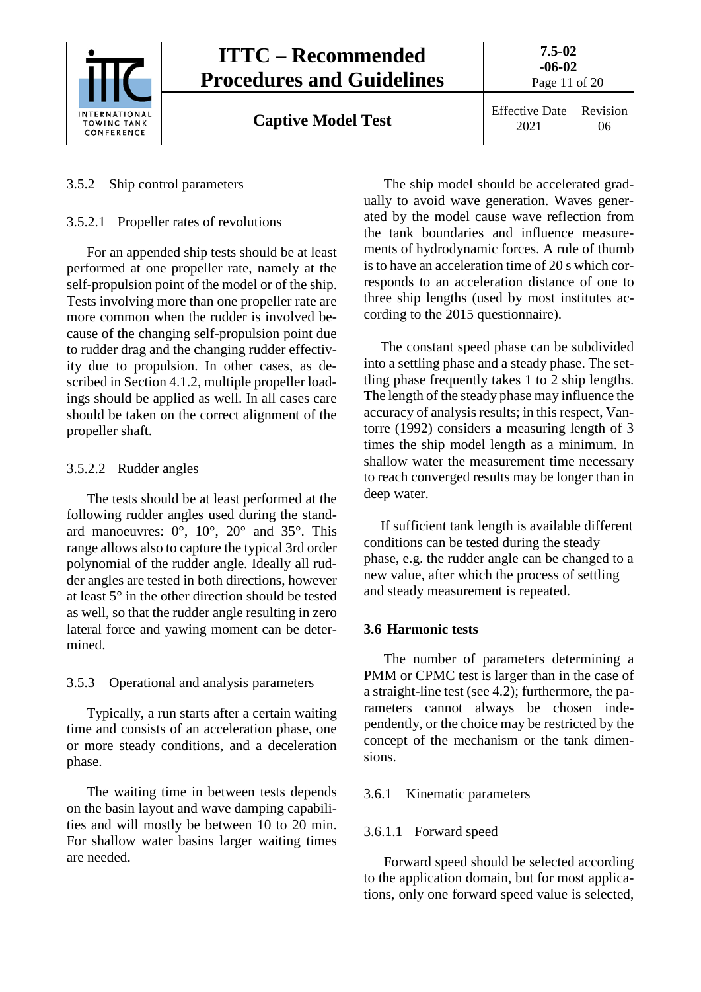

#### <span id="page-10-1"></span><span id="page-10-0"></span>3.5.2 Ship control parameters

#### 3.5.2.1 Propeller rates of revolutions

For an appended ship tests should be at least performed at one propeller rate, namely at the self-propulsion point of the model or of the ship. Tests involving more than one propeller rate are more common when the rudder is involved because of the changing self-propulsion point due to rudder drag and the changing rudder effectivity due to propulsion. In other cases, as described in Section [4.1.2,](#page-9-0) multiple propeller loadings should be applied as well. In all cases care should be taken on the correct alignment of the propeller shaft.

#### <span id="page-10-2"></span>3.5.2.2 Rudder angles

The tests should be at least performed at the following rudder angles used during the standard manoeuvres:  $0^\circ$ ,  $10^\circ$ ,  $20^\circ$  and  $35^\circ$ . This range allows also to capture the typical 3rd order polynomial of the rudder angle. Ideally all rudder angles are tested in both directions, however at least 5° in the other direction should be tested as well, so that the rudder angle resulting in zero lateral force and yawing moment can be determined.

# <span id="page-10-3"></span>3.5.3 Operational and analysis parameters

Typically, a run starts after a certain waiting time and consists of an acceleration phase, one or more steady conditions, and a deceleration phase.

The waiting time in between tests depends on the basin layout and wave damping capabilities and will mostly be between 10 to 20 min. For shallow water basins larger waiting times are needed.

The ship model should be accelerated gradually to avoid wave generation. Waves generated by the model cause wave reflection from the tank boundaries and influence measurements of hydrodynamic forces. A rule of thumb is to have an acceleration time of 20 s which corresponds to an acceleration distance of one to three ship lengths (used by most institutes according to the 2015 questionnaire).

The constant speed phase can be subdivided into a settling phase and a steady phase. The settling phase frequently takes 1 to 2 ship lengths. The length of the steady phase may influence the accuracy of analysis results; in this respect, Vantorre (1992) considers a measuring length of 3 times the ship model length as a minimum. In shallow water the measurement time necessary to reach converged results may be longer than in deep water.

If sufficient tank length is available different conditions can be tested during the steady phase, e.g. the rudder angle can be changed to a new value, after which the process of settling and steady measurement is repeated.

#### <span id="page-10-4"></span>**3.6 Harmonic tests**

The number of parameters determining a PMM or CPMC test is larger than in the case of a straight-line test (see 4.2); furthermore, the parameters cannot always be chosen independently, or the choice may be restricted by the concept of the mechanism or the tank dimensions.

#### <span id="page-10-6"></span><span id="page-10-5"></span>3.6.1 Kinematic parameters

#### 3.6.1.1 Forward speed

Forward speed should be selected according to the application domain, but for most applications, only one forward speed value is selected,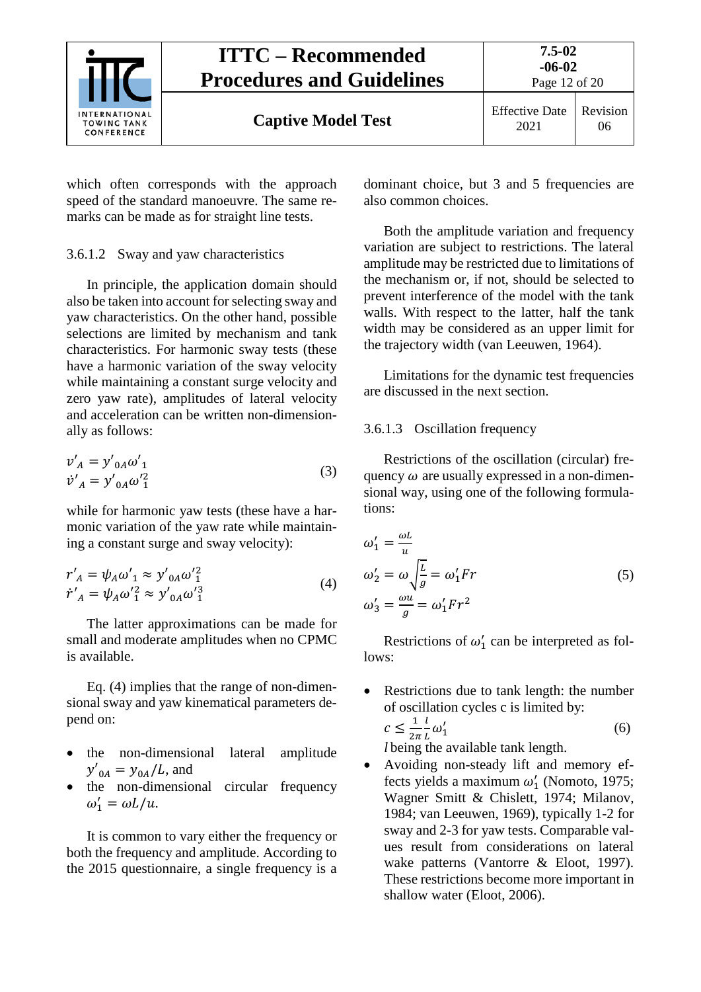

which often corresponds with the approach speed of the standard manoeuvre. The same remarks can be made as for straight line tests.

# <span id="page-11-0"></span>3.6.1.2 Sway and yaw characteristics

In principle, the application domain should also be taken into account for selecting sway and yaw characteristics. On the other hand, possible selections are limited by mechanism and tank characteristics. For harmonic sway tests (these have a harmonic variation of the sway velocity while maintaining a constant surge velocity and zero yaw rate), amplitudes of lateral velocity and acceleration can be written non-dimensionally as follows:

$$
v'_{A} = y'_{0A} \omega'_{1}
$$
  
\n
$$
\dot{v}'_{A} = y'_{0A} \omega'^{2}_{1}
$$
\n(3)

while for harmonic yaw tests (these have a harmonic variation of the yaw rate while maintaining a constant surge and sway velocity):

$$
r'_{A} = \psi_{A} \omega'_{1} \approx y'_{0A} \omega'^{2}_{1}
$$
  
\n
$$
\dot{r}'_{A} = \psi_{A} \omega'^{2}_{1} \approx y'_{0A} \omega'^{3}_{1}
$$
\n(4)

The latter approximations can be made for small and moderate amplitudes when no CPMC is available.

Eq. (4) implies that the range of non-dimensional sway and yaw kinematical parameters depend on:

- the non-dimensional lateral amplitude  $y'_{0A} = y_{0A}/L$ , and
- the non-dimensional circular frequency  $\omega'_1 = \omega L/u.$

It is common to vary either the frequency or both the frequency and amplitude. According to the 2015 questionnaire, a single frequency is a dominant choice, but 3 and 5 frequencies are also common choices.

Both the amplitude variation and frequency variation are subject to restrictions. The lateral amplitude may be restricted due to limitations of the mechanism or, if not, should be selected to prevent interference of the model with the tank walls. With respect to the latter, half the tank width may be considered as an upper limit for the trajectory width (van Leeuwen, 1964).

Limitations for the dynamic test frequencies are discussed in the next section.

# <span id="page-11-1"></span>3.6.1.3 Oscillation frequency

Restrictions of the oscillation (circular) frequency  $\omega$  are usually expressed in a non-dimensional way, using one of the following formulations:

$$
\omega_1' = \frac{\omega L}{u}
$$
  
\n
$$
\omega_2' = \omega \sqrt{\frac{L}{g}} = \omega_1' Fr
$$
  
\n
$$
\omega_3' = \frac{\omega u}{g} = \omega_1' Fr^2
$$
\n(5)

Restrictions of  $\omega'_1$  can be interpreted as follows:

Restrictions due to tank length: the number of oscillation cycles c is limited by:  $c \leq \frac{1}{2\pi}$  $\frac{l}{L}\omega_1'$  $\frac{7}{1}$  (6)

*l* being the available tank length.

• Avoiding non-steady lift and memory effects yields a maximum  $\omega'_1$  (Nomoto, 1975; Wagner Smitt & Chislett, 1974; Milanov, 1984; van Leeuwen, 1969), typically 1-2 for sway and 2-3 for yaw tests. Comparable values result from considerations on lateral wake patterns (Vantorre & Eloot, 1997). These restrictions become more important in shallow water (Eloot, 2006).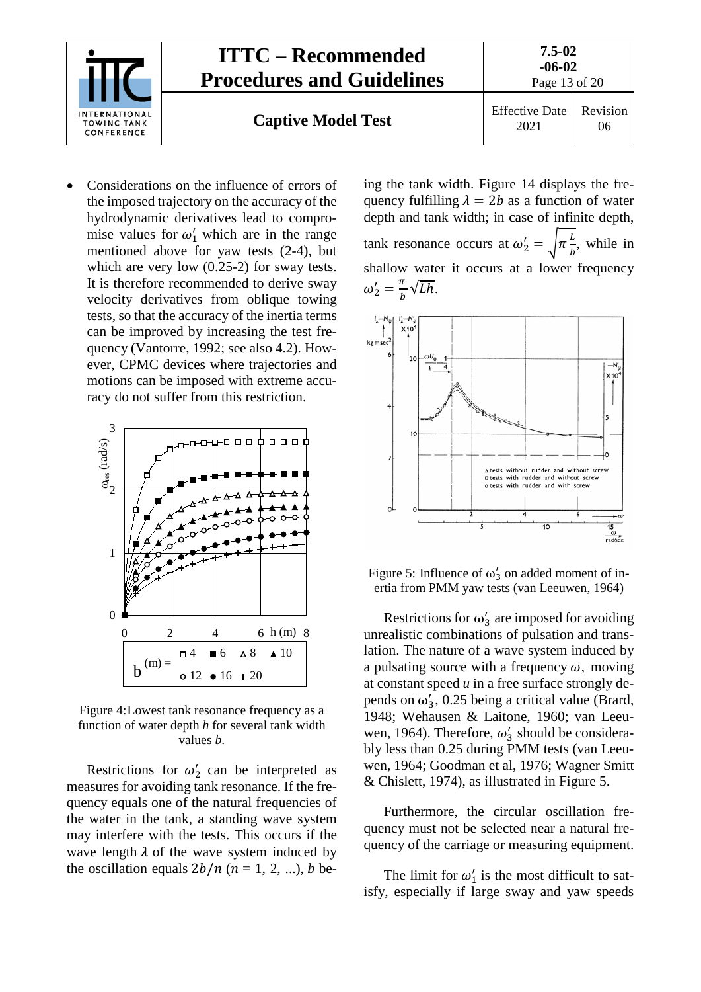

• Considerations on the influence of errors of the imposed trajectory on the accuracy of the hydrodynamic derivatives lead to compromise values for  $\omega'_1$  which are in the range mentioned above for yaw tests (2-4), but which are very low  $(0.25-2)$  for sway tests. It is therefore recommended to derive sway velocity derivatives from oblique towing tests, so that the accuracy of the inertia terms can be improved by increasing the test frequency (Vantorre, 1992; see also 4.2). However, CPMC devices where trajectories and motions can be imposed with extreme accuracy do not suffer from this restriction.



Figure 4:Lowest tank resonance frequency as a function of water depth *h* for several tank width values *b*.

Restrictions for  $\omega'_2$  can be interpreted as measures for avoiding tank resonance. If the frequency equals one of the natural frequencies of the water in the tank, a standing wave system may interfere with the tests. This occurs if the wave length  $\lambda$  of the wave system induced by the oscillation equals  $2b/n$  ( $n = 1, 2, ...$ ), b being the tank width. Figure 14 displays the frequency fulfilling  $\lambda = 2b$  as a function of water depth and tank width; in case of infinite depth, tank resonance occurs at  $\omega'_2 = \sqrt{\pi \frac{L}{b}}$ , while in shallow water it occurs at a lower frequency  $\omega'_2 = \frac{\pi}{b} \sqrt{Lh}$ .



<span id="page-12-0"></span>Figure 5: Influence of  $\omega'_3$  on added moment of inertia from PMM yaw tests (van Leeuwen, 1964)

Restrictions for  $\omega'_3$  are imposed for avoiding unrealistic combinations of pulsation and translation. The nature of a wave system induced by a pulsating source with a frequency  $\omega$ , moving at constant speed  $u$  in a free surface strongly depends on  $\omega'_3$ , 0.25 being a critical value (Brard, 1948; Wehausen & Laitone, 1960; van Leeuwen, 1964). Therefore,  $\omega'_3$  should be considerably less than 0.25 during PMM tests (van Leeuwen, 1964; Goodman et al, 1976; Wagner Smitt & Chislett, 1974), as illustrated in [Figure 5.](#page-12-0)

Furthermore, the circular oscillation frequency must not be selected near a natural frequency of the carriage or measuring equipment.

The limit for  $\omega'_1$  is the most difficult to satisfy, especially if large sway and yaw speeds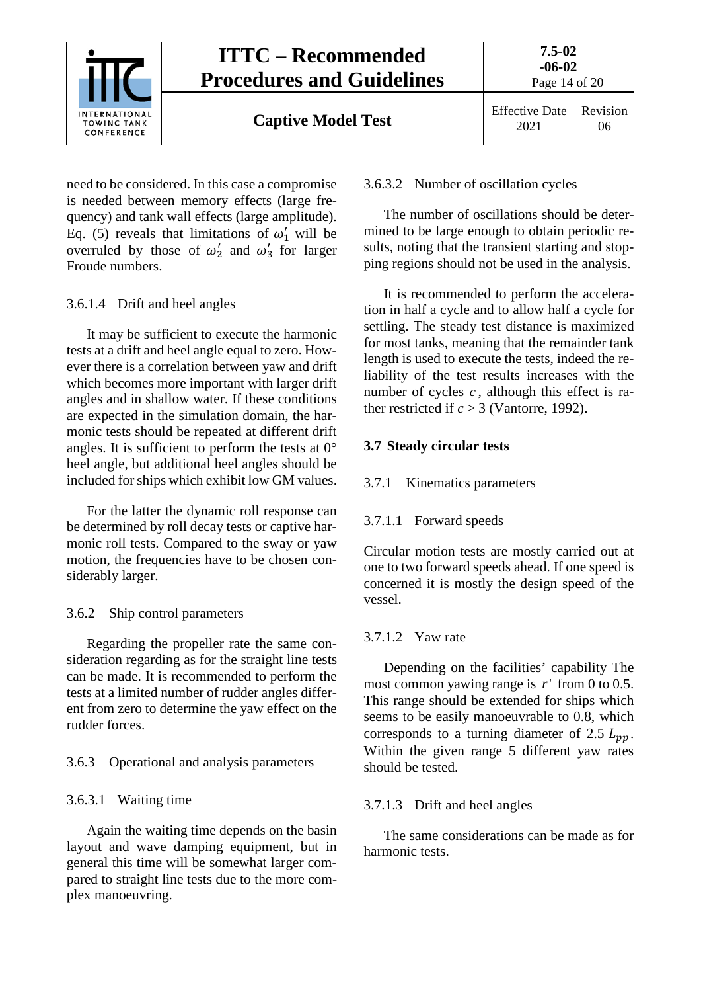

need to be considered. In this case a compromise is needed between memory effects (large frequency) and tank wall effects (large amplitude). Eq. (5) reveals that limitations of  $\omega'_1$  will be overruled by those of  $\omega'_2$  and  $\omega'_3$  for larger Froude numbers.

# <span id="page-13-0"></span>3.6.1.4 Drift and heel angles

It may be sufficient to execute the harmonic tests at a drift and heel angle equal to zero. However there is a correlation between yaw and drift which becomes more important with larger drift angles and in shallow water. If these conditions are expected in the simulation domain, the harmonic tests should be repeated at different drift angles. It is sufficient to perform the tests at  $0^{\circ}$ heel angle, but additional heel angles should be included for ships which exhibit low GM values.

For the latter the dynamic roll response can be determined by roll decay tests or captive harmonic roll tests. Compared to the sway or yaw motion, the frequencies have to be chosen considerably larger.

# <span id="page-13-1"></span>3.6.2 Ship control parameters

Regarding the propeller rate the same consideration regarding as for the straight line tests can be made. It is recommended to perform the tests at a limited number of rudder angles different from zero to determine the yaw effect on the rudder forces.

# <span id="page-13-3"></span><span id="page-13-2"></span>3.6.3 Operational and analysis parameters

# 3.6.3.1 Waiting time

Again the waiting time depends on the basin layout and wave damping equipment, but in general this time will be somewhat larger compared to straight line tests due to the more complex manoeuvring.

#### <span id="page-13-4"></span>3.6.3.2 Number of oscillation cycles

The number of oscillations should be determined to be large enough to obtain periodic results, noting that the transient starting and stopping regions should not be used in the analysis.

It is recommended to perform the acceleration in half a cycle and to allow half a cycle for settling. The steady test distance is maximized for most tanks, meaning that the remainder tank length is used to execute the tests, indeed the reliability of the test results increases with the number of cycles *c* , although this effect is rather restricted if  $c > 3$  (Vantorre, 1992).

# <span id="page-13-6"></span><span id="page-13-5"></span>**3.7 Steady circular tests**

# <span id="page-13-7"></span>3.7.1 Kinematics parameters

# 3.7.1.1 Forward speeds

Circular motion tests are mostly carried out at one to two forward speeds ahead. If one speed is concerned it is mostly the design speed of the vessel.

# <span id="page-13-8"></span>3.7.1.2 Yaw rate

Depending on the facilities' capability The most common yawing range is *r*' from 0 to 0.5. This range should be extended for ships which seems to be easily manoeuvrable to 0.8, which corresponds to a turning diameter of 2.5  $L_{pp}$ . Within the given range 5 different yaw rates should be tested.

# <span id="page-13-9"></span>3.7.1.3 Drift and heel angles

The same considerations can be made as for harmonic tests.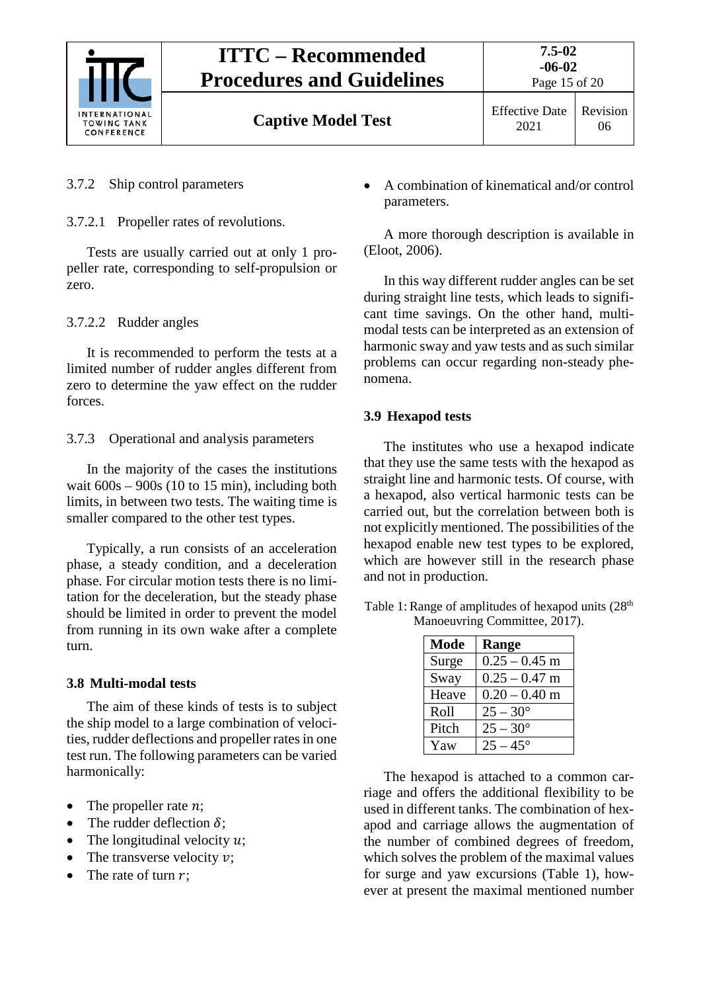

# <span id="page-14-1"></span><span id="page-14-0"></span>3.7.2 Ship control parameters

3.7.2.1 Propeller rates of revolutions.

Tests are usually carried out at only 1 propeller rate, corresponding to self-propulsion or zero.

# <span id="page-14-2"></span>3.7.2.2 Rudder angles

It is recommended to perform the tests at a limited number of rudder angles different from zero to determine the yaw effect on the rudder forces.

<span id="page-14-3"></span>3.7.3 Operational and analysis parameters

In the majority of the cases the institutions wait  $600s - 900s$  (10 to 15 min), including both limits, in between two tests. The waiting time is smaller compared to the other test types.

Typically, a run consists of an acceleration phase, a steady condition, and a deceleration phase. For circular motion tests there is no limitation for the deceleration, but the steady phase should be limited in order to prevent the model from running in its own wake after a complete turn.

# <span id="page-14-4"></span>**3.8 Multi-modal tests**

The aim of these kinds of tests is to subject the ship model to a large combination of velocities, rudder deflections and propeller rates in one test run. The following parameters can be varied harmonically:

- The propeller rate  $n$ :
- The rudder deflection  $\delta$ :
- The longitudinal velocity  $u$ ;
- The transverse velocity  $v$ ;
- The rate of turn  $r$ ;

• A combination of kinematical and/or control parameters.

A more thorough description is available in (Eloot, 2006).

In this way different rudder angles can be set during straight line tests, which leads to significant time savings. On the other hand, multimodal tests can be interpreted as an extension of harmonic sway and yaw tests and as such similar problems can occur regarding non-steady phenomena.

# <span id="page-14-5"></span>**3.9 Hexapod tests**

The institutes who use a hexapod indicate that they use the same tests with the hexapod as straight line and harmonic tests. Of course, with a hexapod, also vertical harmonic tests can be carried out, but the correlation between both is not explicitly mentioned. The possibilities of the hexapod enable new test types to be explored, which are however still in the research phase and not in production.

| <b>Mode</b> | Range             |
|-------------|-------------------|
| Surge       | $0.25 - 0.45$ m   |
| Sway        | $0.25 - 0.47$ m   |
| Heave       | $0.20 - 0.40$ m   |
| Roll        | $25 - 30^{\circ}$ |
| Pitch       | $25 - 30^{\circ}$ |
| Yaw         | $25 - 45^{\circ}$ |

<span id="page-14-6"></span>Table 1: Range of amplitudes of hexapod units  $(28<sup>th</sup>$ Manoeuvring Committee, 2017).

The hexapod is attached to a common carriage and offers the additional flexibility to be used in different tanks. The combination of hexapod and carriage allows the augmentation of the number of combined degrees of freedom, which solves the problem of the maximal values for surge and yaw excursions [\(Table 1\)](#page-14-6), however at present the maximal mentioned number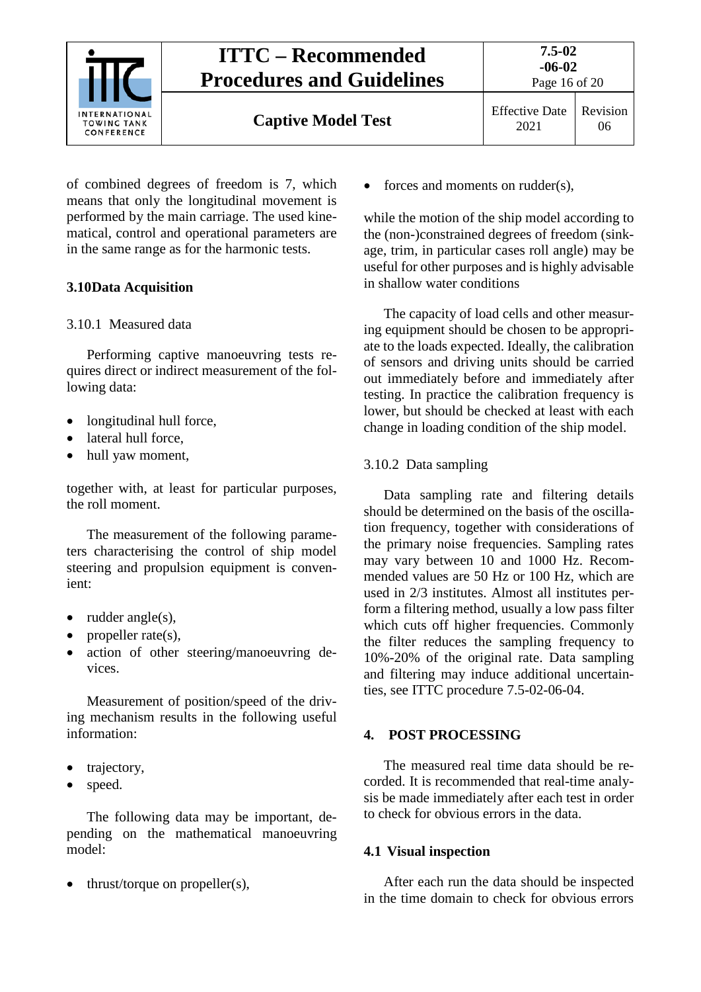

06

**Captive Model Test** Effective Date

of combined degrees of freedom is 7, which means that only the longitudinal movement is performed by the main carriage. The used kinematical, control and operational parameters are in the same range as for the harmonic tests.

# <span id="page-15-1"></span><span id="page-15-0"></span>**3.10Data Acquisition**

# 3.10.1 Measured data

Performing captive manoeuvring tests requires direct or indirect measurement of the following data:

- longitudinal hull force,
- lateral hull force,
- hull yaw moment,

together with, at least for particular purposes, the roll moment.

The measurement of the following parameters characterising the control of ship model steering and propulsion equipment is convenient:

- $\bullet$  rudder angle(s),
- propeller rate $(s)$ ,
- action of other steering/manoeuvring devices.

Measurement of position/speed of the driving mechanism results in the following useful information:

- trajectory,
- speed.

The following data may be important, depending on the mathematical manoeuvring model:

• thrust/torque on propeller(s),

• forces and moments on rudder(s),

while the motion of the ship model according to the (non-)constrained degrees of freedom (sinkage, trim, in particular cases roll angle) may be useful for other purposes and is highly advisable in shallow water conditions

The capacity of load cells and other measuring equipment should be chosen to be appropriate to the loads expected. Ideally, the calibration of sensors and driving units should be carried out immediately before and immediately after testing. In practice the calibration frequency is lower, but should be checked at least with each change in loading condition of the ship model.

# <span id="page-15-2"></span>3.10.2 Data sampling

Data sampling rate and filtering details should be determined on the basis of the oscillation frequency, together with considerations of the primary noise frequencies. Sampling rates may vary between 10 and 1000 Hz. Recommended values are 50 Hz or 100 Hz, which are used in 2/3 institutes. Almost all institutes perform a filtering method, usually a low pass filter which cuts off higher frequencies. Commonly the filter reduces the sampling frequency to 10%-20% of the original rate. Data sampling and filtering may induce additional uncertainties, see ITTC procedure 7.5-02-06-04.

# <span id="page-15-3"></span>**4. POST PROCESSING**

The measured real time data should be recorded. It is recommended that real-time analysis be made immediately after each test in order to check for obvious errors in the data.

# <span id="page-15-4"></span>**4.1 Visual inspection**

After each run the data should be inspected in the time domain to check for obvious errors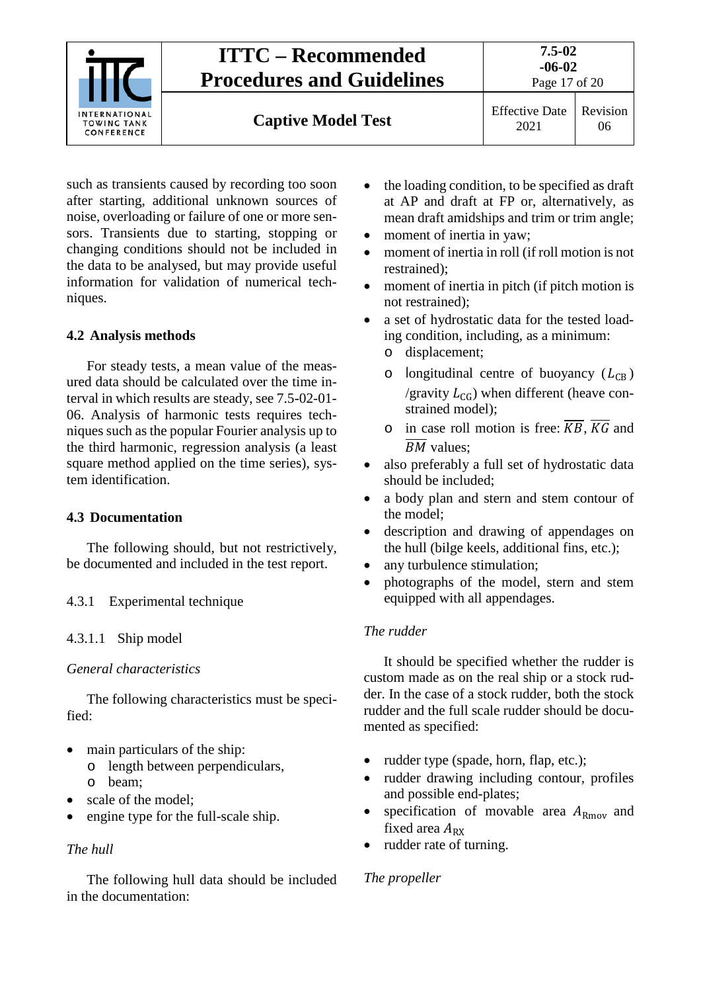

such as transients caused by recording too soon after starting, additional unknown sources of noise, overloading or failure of one or more sensors. Transients due to starting, stopping or changing conditions should not be included in the data to be analysed, but may provide useful information for validation of numerical techniques.

# <span id="page-16-0"></span>**4.2 Analysis methods**

For steady tests, a mean value of the measured data should be calculated over the time interval in which results are steady, see 7.5-02-01- 06. Analysis of harmonic tests requires techniques such as the popular Fourier analysis up to the third harmonic, regression analysis (a least square method applied on the time series), system identification.

# <span id="page-16-1"></span>**4.3 Documentation**

The following should, but not restrictively, be documented and included in the test report.

# <span id="page-16-3"></span><span id="page-16-2"></span>4.3.1 Experimental technique

# 4.3.1.1 Ship model

#### *General characteristics*

The following characteristics must be specified:

- main particulars of the ship:
	- o length between perpendiculars,
	- o beam;
- scale of the model:
- engine type for the full-scale ship.

# *The hull*

The following hull data should be included in the documentation:

- the loading condition, to be specified as draft at AP and draft at FP or, alternatively, as mean draft amidships and trim or trim angle;
- moment of inertia in yaw;
- moment of inertia in roll (if roll motion is not restrained);
- moment of inertia in pitch (if pitch motion is not restrained);
- a set of hydrostatic data for the tested loading condition, including, as a minimum:
	- o displacement;
	- o longitudinal centre of buoyancy  $(L_{CB})$ /gravity  $L_{CG}$ ) when different (heave constrained model);
	- o in case roll motion is free:  $\overline{KB}$ .  $\overline{KG}$  and  $\overline{BM}$  values:
- also preferably a full set of hydrostatic data should be included;
- a body plan and stern and stem contour of the model;
- description and drawing of appendages on the hull (bilge keels, additional fins, etc.);
- any turbulence stimulation;
- photographs of the model, stern and stem equipped with all appendages.

#### *The rudder*

It should be specified whether the rudder is custom made as on the real ship or a stock rudder. In the case of a stock rudder, both the stock rudder and the full scale rudder should be documented as specified:

- rudder type (spade, horn, flap, etc.);
- rudder drawing including contour, profiles and possible end-plates;
- specification of movable area  $A_{\rm Rmov}$  and fixed area  $A_{RX}$
- rudder rate of turning.

# *The propeller*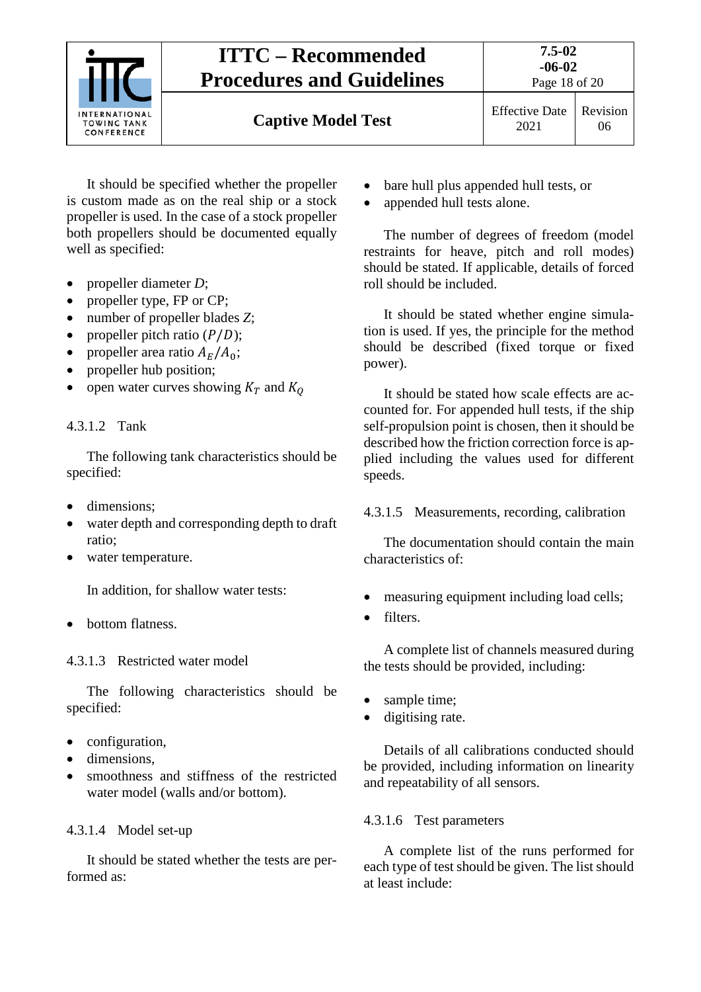

It should be specified whether the propeller is custom made as on the real ship or a stock propeller is used. In the case of a stock propeller both propellers should be documented equally well as specified:

- propeller diameter *D*;
- propeller type, FP or CP;
- number of propeller blades *Z*;
- propeller pitch ratio  $(P/D)$ ;
- propeller area ratio  $A_E/A_0$ ;
- propeller hub position;
- open water curves showing  $K_T$  and  $K_Q$

# <span id="page-17-0"></span>4.3.1.2 Tank

The following tank characteristics should be specified:

- dimensions;
- water depth and corresponding depth to draft ratio;
- water temperature.

In addition, for shallow water tests:

• bottom flatness.

# <span id="page-17-1"></span>4.3.1.3 Restricted water model

The following characteristics should be specified:

- configuration,
- dimensions.
- smoothness and stiffness of the restricted water model (walls and/or bottom).

# <span id="page-17-2"></span>4.3.1.4 Model set-up

It should be stated whether the tests are performed as:

- bare hull plus appended hull tests, or
- appended hull tests alone.

The number of degrees of freedom (model restraints for heave, pitch and roll modes) should be stated. If applicable, details of forced roll should be included.

It should be stated whether engine simulation is used. If yes, the principle for the method should be described (fixed torque or fixed power).

It should be stated how scale effects are accounted for. For appended hull tests, if the ship self-propulsion point is chosen, then it should be described how the friction correction force is applied including the values used for different speeds.

# <span id="page-17-3"></span>4.3.1.5 Measurements, recording, calibration

The documentation should contain the main characteristics of:

- measuring equipment including load cells;
- filters.

A complete list of channels measured during the tests should be provided, including:

- sample time;
- digitising rate.

Details of all calibrations conducted should be provided, including information on linearity and repeatability of all sensors.

# <span id="page-17-4"></span>4.3.1.6 Test parameters

A complete list of the runs performed for each type of test should be given. The list should at least include: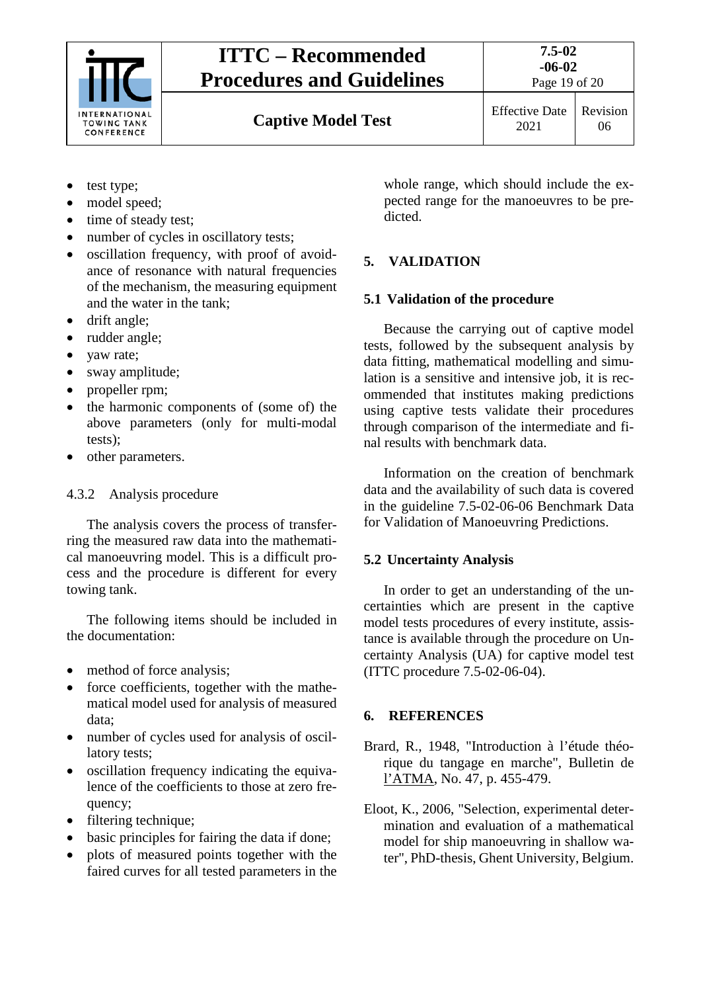

**Captive Model Test** Effective Date

2021

Revision 06

- test type;
- model speed;
- time of steady test;
- number of cycles in oscillatory tests;
- oscillation frequency, with proof of avoidance of resonance with natural frequencies of the mechanism, the measuring equipment and the water in the tank;
- drift angle;
- rudder angle;
- vaw rate;
- sway amplitude;
- propeller rpm;
- the harmonic components of (some of) the above parameters (only for multi-modal tests);
- other parameters.

# <span id="page-18-0"></span>4.3.2 Analysis procedure

The analysis covers the process of transferring the measured raw data into the mathematical manoeuvring model. This is a difficult process and the procedure is different for every towing tank.

The following items should be included in the documentation:

- method of force analysis;
- force coefficients, together with the mathematical model used for analysis of measured data;
- number of cycles used for analysis of oscillatory tests;
- oscillation frequency indicating the equivalence of the coefficients to those at zero frequency;
- filtering technique;
- basic principles for fairing the data if done;
- plots of measured points together with the faired curves for all tested parameters in the

whole range, which should include the expected range for the manoeuvres to be predicted.

# <span id="page-18-2"></span><span id="page-18-1"></span>**5. VALIDATION**

# **5.1 Validation of the procedure**

Because the carrying out of captive model tests, followed by the subsequent analysis by data fitting, mathematical modelling and simulation is a sensitive and intensive job, it is recommended that institutes making predictions using captive tests validate their procedures through comparison of the intermediate and final results with benchmark data.

Information on the creation of benchmark data and the availability of such data is covered in the guideline 7.5-02-06-06 Benchmark Data for Validation of Manoeuvring Predictions.

# <span id="page-18-3"></span>**5.2 Uncertainty Analysis**

In order to get an understanding of the uncertainties which are present in the captive model tests procedures of every institute, assistance is available through the procedure on Uncertainty Analysis (UA) for captive model test (ITTC procedure 7.5-02-06-04).

# <span id="page-18-4"></span>**6. REFERENCES**

- Brard, R., 1948, "Introduction à l'étude théorique du tangage en marche", Bulletin de l'ATMA, No. 47, p. 455-479.
- Eloot, K., 2006, "Selection, experimental determination and evaluation of a mathematical model for ship manoeuvring in shallow water", PhD-thesis, Ghent University, Belgium.